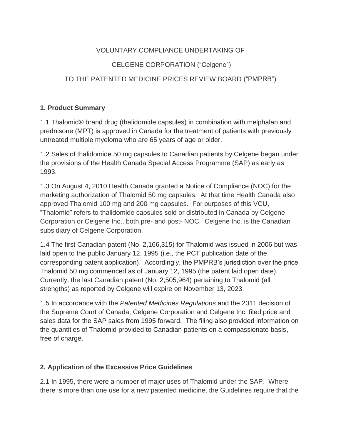### VOLUNTARY COMPLIANCE UNDERTAKING OF

## CELGENE CORPORATION ("Celgene")

# TO THE PATENTED MEDICINE PRICES REVIEW BOARD ("PMPRB")

### **1. Product Summary**

1.1 Thalomid® brand drug (thalidomide capsules) in combination with melphalan and prednisone (MPT) is approved in Canada for the treatment of patients with previously untreated multiple myeloma who are 65 years of age or older.

1.2 Sales of thalidomide 50 mg capsules to Canadian patients by Celgene began under the provisions of the Health Canada Special Access Programme (SAP) as early as 1993.

1.3 On August 4, 2010 Health Canada granted a Notice of Compliance (NOC) for the marketing authorization of Thalomid 50 mg capsules. At that time Health Canada also approved Thalomid 100 mg and 200 mg capsules. For purposes of this VCU, "Thalomid" refers to thalidomide capsules sold or distributed in Canada by Celgene Corporation or Celgene Inc., both pre- and post- NOC. Celgene Inc. is the Canadian subsidiary of Celgene Corporation.

1.4 The first Canadian patent (No. 2,166,315) for Thalomid was issued in 2006 but was laid open to the public January 12, 1995 (i.e., the PCT publication date of the corresponding patent application). Accordingly, the PMPRB's jurisdiction over the price Thalomid 50 mg commenced as of January 12, 1995 (the patent laid open date). Currently, the last Canadian patent (No. 2,505,964) pertaining to Thalomid (all strengths) as reported by Celgene will expire on November 13, 2023.

1.5 In accordance with the *Patented Medicines Regulations* and the 2011 decision of the Supreme Court of Canada, Celgene Corporation and Celgene Inc. filed price and sales data for the SAP sales from 1995 forward. The filing also provided information on the quantities of Thalomid provided to Canadian patients on a compassionate basis, free of charge.

## **2. Application of the Excessive Price Guidelines**

2.1 In 1995, there were a number of major uses of Thalomid under the SAP. Where there is more than one use for a new patented medicine, the Guidelines require that the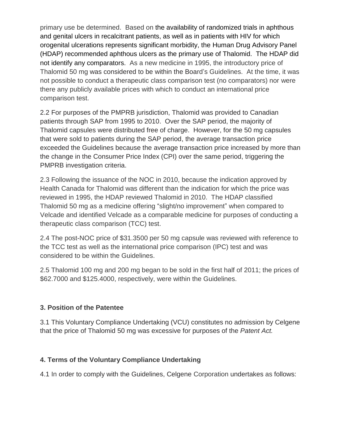primary use be determined. Based on the availability of randomized trials in aphthous and genital ulcers in recalcitrant patients, as well as in patients with HIV for which orogenital ulcerations represents significant morbidity, the Human Drug Advisory Panel (HDAP) recommended aphthous ulcers as the primary use of Thalomid. The HDAP did not identify any comparators. As a new medicine in 1995, the introductory price of Thalomid 50 mg was considered to be within the Board's Guidelines. At the time, it was not possible to conduct a therapeutic class comparison test (no comparators) nor were there any publicly available prices with which to conduct an international price comparison test.

2.2 For purposes of the PMPRB jurisdiction, Thalomid was provided to Canadian patients through SAP from 1995 to 2010. Over the SAP period, the majority of Thalomid capsules were distributed free of charge. However, for the 50 mg capsules that were sold to patients during the SAP period, the average transaction price exceeded the Guidelines because the average transaction price increased by more than the change in the Consumer Price Index (CPI) over the same period, triggering the PMPRB investigation criteria.

2.3 Following the issuance of the NOC in 2010, because the indication approved by Health Canada for Thalomid was different than the indication for which the price was reviewed in 1995, the HDAP reviewed Thalomid in 2010. The HDAP classified Thalomid 50 mg as a medicine offering "slight/no improvement" when compared to Velcade and identified Velcade as a comparable medicine for purposes of conducting a therapeutic class comparison (TCC) test.

2.4 The post-NOC price of \$31.3500 per 50 mg capsule was reviewed with reference to the TCC test as well as the international price comparison (IPC) test and was considered to be within the Guidelines.

2.5 Thalomid 100 mg and 200 mg began to be sold in the first half of 2011; the prices of \$62.7000 and \$125.4000, respectively, were within the Guidelines.

### **3. Position of the Patentee**

3.1 This Voluntary Compliance Undertaking (VCU) constitutes no admission by Celgene that the price of Thalomid 50 mg was excessive for purposes of the *Patent Act.* 

### **4. Terms of the Voluntary Compliance Undertaking**

4.1 In order to comply with the Guidelines, Celgene Corporation undertakes as follows: